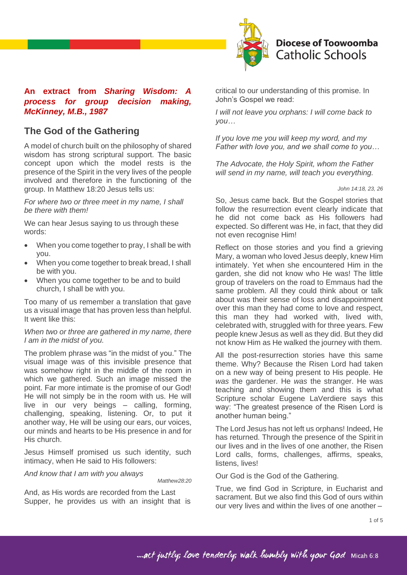

## **An extract from** *Sharing Wisdom: A process for group decision making, McKinney, M.B., 1987*

## **The God of the Gathering**

A model of church built on the philosophy of shared wisdom has strong scriptural support. The basic concept upon which the model rests is the presence of the Spirit in the very lives of the people involved and therefore in the functioning of the group. In Matthew 18:20 Jesus tells us:

*For where two or three meet in my name, I shall be there with them!*

We can hear Jesus saying to us through these words:

- When you come together to pray, I shall be with you.
- When you come together to break bread, I shall be with you.
- When you come together to be and to build church, I shall be with you.

Too many of us remember a translation that gave us a visual image that has proven less than helpful. It went like this:

## *When two or three are gathered in my name, there I am in the midst of you.*

The problem phrase was "in the midst of you." The visual image was of this invisible presence that was somehow right in the middle of the room in which we gathered. Such an image missed the point. Far more intimate is the promise of our God! He will not simply be in the room with us. He will live in our very beings – calling, forming, challenging, speaking, listening. Or, to put it another way, He will be using our ears, our voices, our minds and hearts to be His presence in and for His church.

Jesus Himself promised us such identity, such intimacy, when He said to His followers:

## *And know that I am with you always*

*Matthew28:20*

And, as His words are recorded from the Last Supper, he provides us with an insight that is critical to our understanding of this promise. In John's Gospel we read:

*I will not leave you orphans: I will come back to you…*

*If you love me you will keep my word, and my Father with love you, and we shall come to you…*

*The Advocate, the Holy Spirit, whom the Father will send in my name, will teach you everything.*

*John 14:18, 23, 26*

So, Jesus came back. But the Gospel stories that follow the resurrection event clearly indicate that he did not come back as His followers had expected. So different was He, in fact, that they did not even recognise Him!

Reflect on those stories and you find a grieving Mary, a woman who loved Jesus deeply, knew Him intimately. Yet when she encountered Him in the garden, she did not know who He was! The little group of travelers on the road to Emmaus had the same problem. All they could think about or talk about was their sense of loss and disappointment over this man they had come to love and respect, this man they had worked with, lived with, celebrated with, struggled with for three years. Few people knew Jesus as well as they did. But they did not know Him as He walked the journey with them.

All the post-resurrection stories have this same theme. Why? Because the Risen Lord had taken on a new way of being present to His people. He *was* the gardener. He *was* the stranger. He was teaching and showing them and this is what Scripture scholar Eugene LaVerdiere says this way: "The greatest presence of the Risen Lord is another human being."

The Lord Jesus has not left us orphans! Indeed, He has returned. Through the presence of the Spirit in our lives and in the lives of one another, the Risen Lord calls, forms, challenges, affirms, speaks, listens, lives!

Our God is the God of the Gathering.

True, we find God in Scripture, in Eucharist and sacrament. But we also find this God of ours within our very lives and within the lives of one another –

... act justly; love tenderly; walk humbly with your God Micah 6:8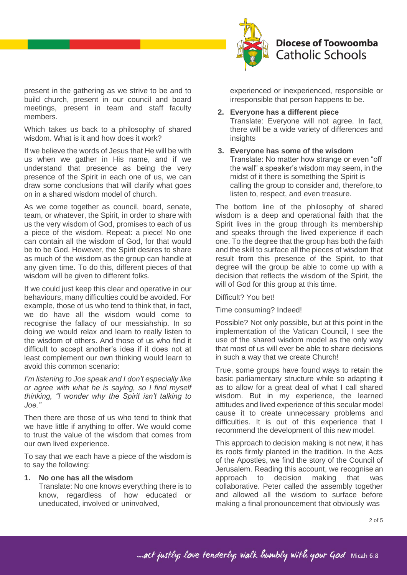

present in the gathering as we strive to be and to build church, present in our council and board meetings, present in team and staff faculty members.

Which takes us back to a philosophy of shared wisdom. What is it and how does it work?

If we believe the words of Jesus that He will be with us when we gather in His name, and if we understand that presence as being the very presence of the Spirit in each one of us, we can draw some conclusions that will clarify what goes on in a shared wisdom model of church.

As we come together as council, board, senate, team, or whatever, the Spirit, in order to share with us the very wisdom of God, promises to each of us a piece of the wisdom. Repeat: a piece! No one can contain all the wisdom of God, for that would be to be God. However, the Spirit desires to share as much of the wisdom as the group can handle at any given time. To do this, different pieces of that wisdom will be given to different folks.

If we could just keep this clear and operative in our behaviours, many difficulties could be avoided. For example, those of us who tend to think that, in fact, we do have all the wisdom would come to recognise the fallacy of our messiahship. In so doing we would relax and learn to really listen to the wisdom of others. And those of us who find it difficult to accept another's idea if it does not at least complement our own thinking would learn to avoid this common scenario:

*I'm listening to Joe speak and I don't especially like or agree with what he is saying, so I find myself thinking, "I wonder why the Spirit isn't talking to Joe."*

Then there are those of us who tend to think that we have little if anything to offer. We would come to trust the value of the wisdom that comes from our own lived experience.

To say that we each have a piece of the wisdom is to say the following:

### **1. No one has all the wisdom**

Translate: No one knows everything there is to know, regardless of how educated or uneducated, involved or uninvolved,

experienced or inexperienced, responsible or irresponsible that person happens to be.

## **2. Everyone has a different piece**

Translate: Everyone will not agree. In fact, there will be a wide variety of differences and insights

## **3. Everyone has some of the wisdom**

Translate: No matter how strange or even "off the wall" a speaker's wisdom may seem, in the midst of it there is something the Spirit is calling the group to consider and, therefore,to listen to, respect, and even treasure.

The bottom line of the philosophy of shared wisdom is a deep and operational faith that the Spirit lives in the group through its membership and speaks through the lived experience if each one. To the degree that the group has both the faith and the skill to surface all the pieces of wisdom that result from this presence of the Spirit, to that degree will the group be able to come up with a decision that reflects the wisdom of the Spirit, the will of God for this group at this time.

Difficult? You bet!

Time consuming? Indeed!

Possible? Not only possible, but at this point in the implementation of the Vatican Council, I see the use of the shared wisdom model as the only way that most of us will ever be able to share decisions in such a way that we create Church!

True, some groups have found ways to retain the basic parliamentary structure while so adapting it as to allow for a great deal of what I call shared wisdom. But in my experience, the learned attitudes and lived experience of this secular model cause it to create unnecessary problems and difficulties. It is out of this experience that I recommend the development of this new model.

This approach to decision making is not new, it has its roots firmly planted in the tradition. In the Acts of the Apostles, we find the story of the Council of Jerusalem. Reading this account, we recognise an approach to decision making that was collaborative. Peter called the assembly together and allowed all the wisdom to surface before making a final pronouncement that obviously was

... act justly; love tenderly; walk humbly with your God Micah 6:8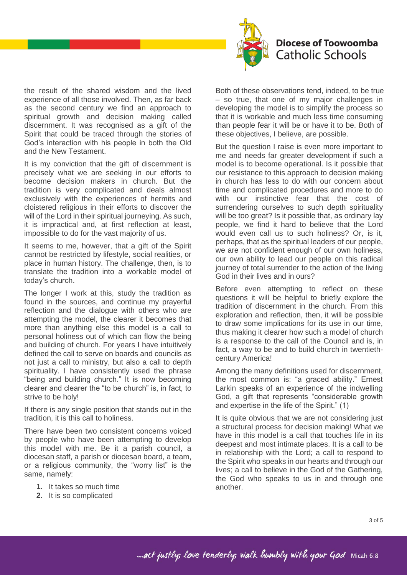

# **Diocese of Toowoomba Catholic Schools**

the result of the shared wisdom and the lived experience of all those involved. Then, as far back as the second century we find an approach to spiritual growth and decision making called discernment. It was recognised as a gift of the Spirit that could be traced through the stories of God's interaction with his people in both the Old and the New Testament.

It is my conviction that the gift of discernment is precisely what we are seeking in our efforts to become decision makers in church. But the tradition is very complicated and deals almost exclusively with the experiences of hermits and cloistered religious in their efforts to discover the will of the Lord in their spiritual journeying. As such, it is impractical and, at first reflection at least, impossible to do for the vast majority of us.

It seems to me, however, that a gift of the Spirit cannot be restricted by lifestyle, social realities, or place in human history. The challenge, then, is to translate the tradition into a workable model of today's church.

The longer I work at this, study the tradition as found in the sources, and continue my prayerful reflection and the dialogue with others who are attempting the model, the clearer it becomes that more than anything else this model is a call to personal holiness out of which can flow the being and building of church. For years I have intuitively defined the call to serve on boards and councils as not just a call to ministry, but also a call to depth spirituality. I have consistently used the phrase "being and building church." It is now becoming clearer and clearer the "to be church" is, in fact, to strive to be holy!

If there is any single position that stands out in the tradition, it is this call to holiness.

There have been two consistent concerns voiced by people who have been attempting to develop this model with me. Be it a parish council, a diocesan staff, a parish or diocesan board, a team, or a religious community, the "worry list" is the same, namely:

- **1.** It takes so much time
- **2.** It is so complicated

Both of these observations tend, indeed, to be true – so true, that one of my major challenges in developing the model is to simplify the process so that it is workable and much less time consuming than people fear it will be or have it to be. Both of these objectives, I believe, are possible.

But the question I raise is even more important to me and needs far greater development if such a model is to become operational. Is it possible that our resistance to this approach to decision making in church has less to do with our concern about time and complicated procedures and more to do with our instinctive fear that the cost of surrendering ourselves to such depth spirituality will be too great? Is it possible that, as ordinary lay people, we find it hard to believe that the Lord would even call us to such holiness? Or, is it, perhaps, that as the spiritual leaders of our people, we are not confident enough of our own holiness, our own ability to lead our people on this radical journey of total surrender to the action of the living God in their lives and in ours?

Before even attempting to reflect on these questions it will be helpful to briefly explore the tradition of discernment in the church. From this exploration and reflection, then, it will be possible to draw some implications for its use in our time, thus making it clearer how such a model of church is a response to the call of the Council and is, in fact, a way to be and to build church in twentiethcentury America!

Among the many definitions used for discernment, the most common is: "a graced ability." Ernest Larkin speaks of an experience of the indwelling God, a gift that represents "considerable growth and expertise in the life of the Spirit." (1)

It is quite obvious that we are not considering just a structural process for decision making! What we have in this model is a call that touches life in its deepest and most intimate places. It is a call to be in relationship with the Lord; a call to respond to the Spirit who speaks in our hearts and through our lives; a call to believe in the God of the Gathering, the God who speaks to us in and through one another.

# mact justly; love tenderly; walk humbly with your God Micah 6:8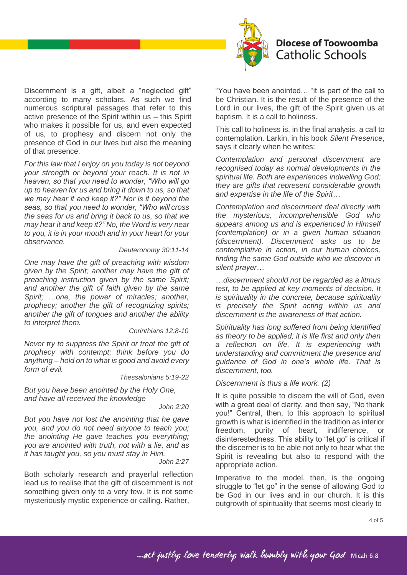

Discernment is a gift, albeit a "neglected gift" according to many scholars. As such we find numerous scriptural passages that refer to this active presence of the Spirit within us – this Spirit who makes it possible for us, and even expected of us, to prophesy and discern not only the presence of God in our lives but also the meaning of that presence.

*For this law that I enjoy on you today is not beyond your strength or beyond your reach. It is not in heaven, so that you need to wonder, "Who will go up to heaven for us and bring it down to us, so that we may hear it and keep it?" Nor is it beyond the seas, so that you need to wonder, "Who will cross the seas for us and bring it back to us, so that we may hear it and keep it?" No, the Word is very near to you, it is in your mouth and in your heart for your observance.*

### *Deuteronomy 30:11-14*

*One may have the gift of preaching with wisdom given by the Spirit; another may have the gift of preaching instruction given by the same Spirit; and another the gift of faith given by the same Spirit; …one, the power of miracles; another, prophecy; another the gift of recognizing spirits; another the gift of tongues and another the ability to interpret them.*

#### *Corinthians 12:8-10*

*Never try to suppress the Spirit or treat the gift of prophecy with contempt; think before you do anything – hold on to what is good and avoid every form of evil.*

#### *Thessalonians 5:19-22*

*But you have been anointed by the Holy One, and have all received the knowledge*

*John 2:20*

*But you have not lost the anointing that he gave you, and you do not need anyone to teach you; the anointing He gave teaches you everything; you are anointed with truth, not with a lie, and as it has taught you, so you must stay in Him.*

*John 2:27*

Both scholarly research and prayerful reflection lead us to realise that the gift of discernment is not something given only to a very few. It is not some mysteriously mystic experience or calling. Rather,

"You have been anointed… "it is part of the call to be Christian. It is the result of the presence of the Lord in our lives, the gift of the Spirit given us at baptism. It is a call to holiness.

This call to holiness is, in the final analysis, a call to contemplation. Larkin, in his book *Silent Presence*, says it clearly when he writes:

*Contemplation and personal discernment are recognised today as normal developments in the spiritual life. Both are experiences indwelling God; they are gifts that represent considerable growth and expertise in the life of the Spirit…*

*Contemplation and discernment deal directly with the mysterious, incomprehensible God who appears among us and is experienced in Himself (contemplation) or in a given human situation (discernment). Discernment asks us to be contemplative in action, in our human choices, finding the same God outside who we discover in silent prayer…*

*…discernment should not be regarded as a litmus test, to be applied at key moments of decision. It is spirituality in the concrete, because spirituality is precisely the Spirit acting within us and discernment is the awareness of that action.*

*Spirituality has long suffered from being identified as theory to be applied; it is life first and only then a reflection on life. It is experiencing with understanding and commitment the presence and guidance of God in one's whole life. That is discernment, too.*

#### *Discernment is thus a life work. (2)*

It is quite possible to discern the will of God, even with a great deal of clarity, and then say, "No thank you!" Central, then, to this approach to spiritual growth is what is identified in the tradition as interior freedom, purity of heart, indifference, or disinterestedness. This ability to "let go" is critical if the discerner is to be able not only to hear what the Spirit is revealing but also to respond with the appropriate action.

Imperative to the model, then, is the ongoing struggle to "let go" in the sense of allowing God to be God in our lives and in our church. It is this outgrowth of spirituality that seems most clearly to

... act justly; love tenderly; walk humbly with your God Micah 6:8